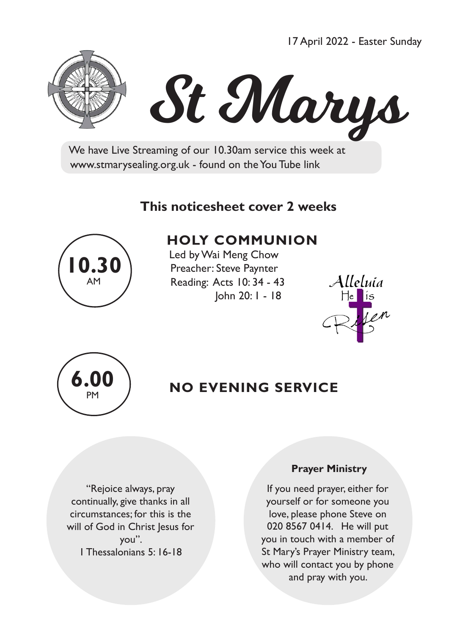17 April 2022 - Easter Sunday



# St Marys

 We have Live Streaming of our 10.30am service this week at www.stmarysealing.org.uk - found on the You Tube link

#### **This noticesheet cover 2 weeks**



### **HOLY COMMUNION**

 Led by Wai Meng Chow Preacher: Steve Paynter Reading: Acts 10: 34 - 43 John 20: 1 - 18





## **6.00** NO EVENING SERVICE

"Rejoice always, pray continually, give thanks in all circumstances; for this is the will of God in Christ Jesus for you". 1 Thessalonians 5: 16-18

#### **Prayer Ministry**

If you need prayer, either for yourself or for someone you love, please phone Steve on 020 8567 0414. He will put you in touch with a member of St Mary's Prayer Ministry team, who will contact you by phone and pray with you.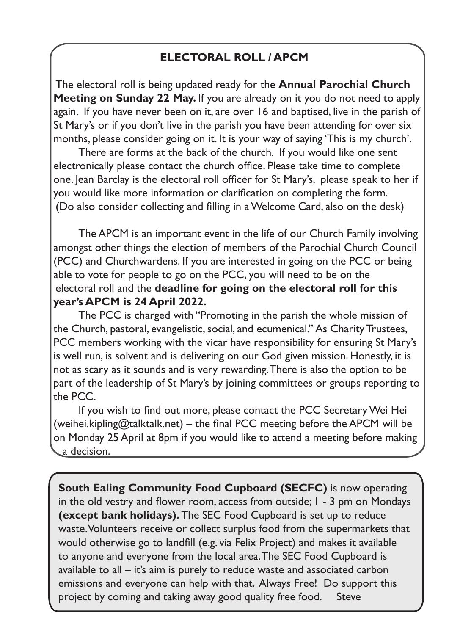#### **ELECTORAL ROLL / APCM**

The electoral roll is being updated ready for the **Annual Parochial Church Meeting on Sunday 22 May.** If you are already on it you do not need to apply again. If you have never been on it, are over 16 and baptised, live in the parish of St Mary's or if you don't live in the parish you have been attending for over six months, please consider going on it. It is your way of saying 'This is my church'.

There are forms at the back of the church. If you would like one sent electronically please contact the church office. Please take time to complete one. Jean Barclay is the electoral roll officer for St Mary's, please speak to her if you would like more information or clarification on completing the form. (Do also consider collecting and filling in a Welcome Card, also on the desk)

The APCM is an important event in the life of our Church Family involving amongst other things the election of members of the Parochial Church Council (PCC) and Churchwardens. If you are interested in going on the PCC or being able to vote for people to go on the PCC, you will need to be on the electoral roll and the **deadline for going on the electoral roll for this year's APCM is 24 April 2022.**

The PCC is charged with "Promoting in the parish the whole mission of the Church, pastoral, evangelistic, social, and ecumenical." As Charity Trustees, PCC members working with the vicar have responsibility for ensuring St Mary's is well run, is solvent and is delivering on our God given mission. Honestly, it is not as scary as it sounds and is very rewarding. There is also the option to be part of the leadership of St Mary's by joining committees or groups reporting to the PCC.

If you wish to find out more, please contact the PCC Secretary Wei Hei (weihei.kipling@talktalk.net) – the final PCC meeting before the APCM will be on Monday 25 April at 8pm if you would like to attend a meeting before making a decision.

**South Ealing Community Food Cupboard (SECFC)** is now operating in the old vestry and flower room, access from outside; 1 - 3 pm on Mondays **(except bank holidays).** The SEC Food Cupboard is set up to reduce waste. Volunteers receive or collect surplus food from the supermarkets that would otherwise go to landfill (e.g. via Felix Project) and makes it available to anyone and everyone from the local area. The SEC Food Cupboard is available to all – it's aim is purely to reduce waste and associated carbon emissions and everyone can help with that. Always Free! Do support this project by coming and taking away good quality free food. Steve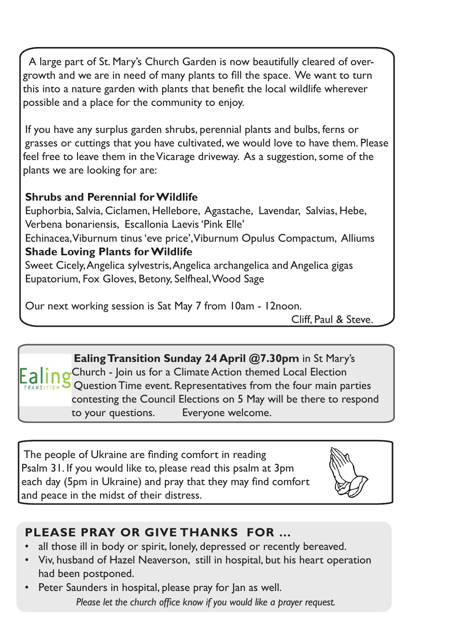A large part of St. Mary's Church Garden is now beautifully cleared of overgrowth and we are in need of many plants to fill the space. We want to turn this into a nature garden with plants that benefit the local wildlife wherever possible and a place for the community to enjoy.

If you have any surplus garden shrubs, perennial plants and bulbs, ferns or grasses or cuttings that you have cultivated, we would love to have them. Please feel free to leave them in the Vicarage driveway. As a suggestion, some of the plants we are looking for are:

#### **Shrubs and Perennial for Wildlife**

Euphorbia, Salvia, Ciclamen, Hellebore, Agastache, Lavendar, Salvias, Hebe, Verbena bonariensis, Escallonia Laevis 'Pink Elle' Echinacea, Viburnum tinus 'eve price', Viburnum Opulus Compactum, Alliums **Shade Loving Plants for Wildlife** Sweet Cicely, Angelica sylvestris, Angelica archangelica and Angelica gigas

Eupatorium, Fox Gloves, Betony, Selfheal, Wood Sage

Our next working session is Sat May 7 from 10am - 12noon.

Cliff, Paul & Steve.

**Ealing Transition Sunday 24 April @7.30pm** in St Mary's Church - Join us for a Climate Action themed Local Election Question Time event. Representatives from the four main parties contesting the Council Elections on 5 May will be there to respond to your questions. Everyone welcome.

The people of Ukraine are finding comfort in reading Psalm 31. If you would like to, please read this psalm at 3pm each day (5pm in Ukraine) and pray that they may find comfort and peace in the midst of their distress.



#### **PLEASE PRAY OR GIVE THANKS FOR …**

- all those ill in body or spirit, lonely, depressed or recently bereaved.
- Viv, husband of Hazel Neaverson, still in hospital, but his heart operation had been postponed.
- Peter Saunders in hospital, please pray for Jan as well.  *Please let the church office know if you would like a prayer request.*